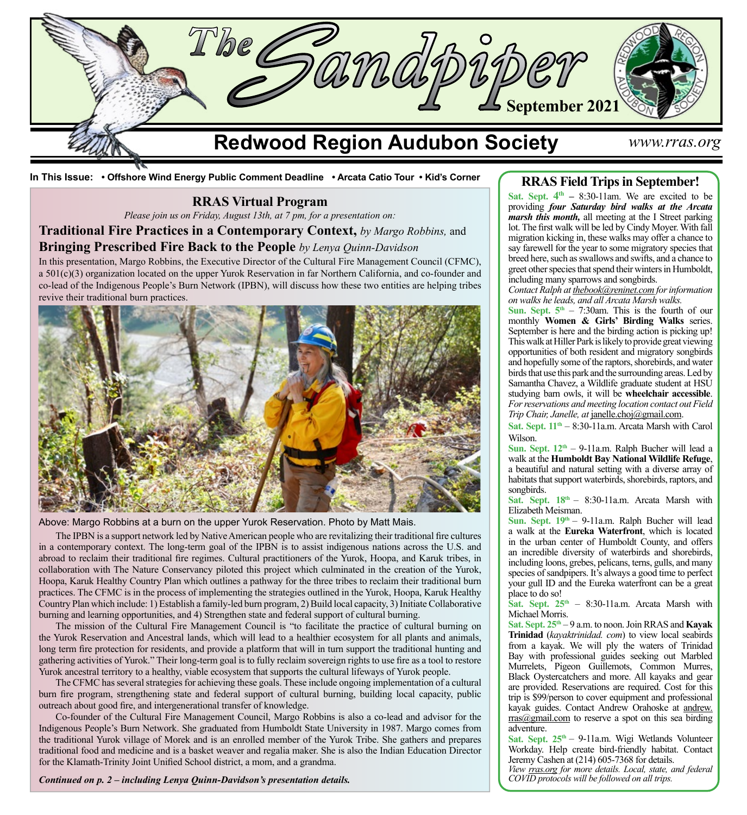

**In This Issue: • Offshore Wind Energy Public Comment Deadline • Arcata Catio Tour • Kid's Corner**

## **RRAS Virtual Program**

*Please join us on Friday, August 13th, at 7 pm, for a presentation on:*

**Traditional Fire Practices in a Contemporary Context,** *by Margo Robbins,* and

## **Bringing Prescribed Fire Back to the People** *by Lenya Quinn-Davidson*

In this presentation, Margo Robbins, the Executive Director of the Cultural Fire Management Council (CFMC), a 501(c)(3) organization located on the upper Yurok Reservation in far Northern California, and co-founder and co-lead of the Indigenous People's Burn Network (IPBN), will discuss how these two entities are helping tribes revive their traditional burn practices.



Above: Margo Robbins at a burn on the upper Yurok Reservation. Photo by Matt Mais.

The IPBN is a support network led by Native American people who are revitalizing their traditional fire cultures in a contemporary context. The long-term goal of the IPBN is to assist indigenous nations across the U.S. and abroad to reclaim their traditional fire regimes. Cultural practitioners of the Yurok, Hoopa, and Karuk tribes, in collaboration with The Nature Conservancy piloted this project which culminated in the creation of the Yurok, Hoopa, Karuk Healthy Country Plan which outlines a pathway for the three tribes to reclaim their traditional burn practices. The CFMC is in the process of implementing the strategies outlined in the Yurok, Hoopa, Karuk Healthy Country Plan which include: 1) Establish a family-led burn program, 2) Build local capacity, 3) Initiate Collaborative burning and learning opportunities, and 4) Strengthen state and federal support of cultural burning.

The mission of the Cultural Fire Management Council is "to facilitate the practice of cultural burning on the Yurok Reservation and Ancestral lands, which will lead to a healthier ecosystem for all plants and animals, long term fire protection for residents, and provide a platform that will in turn support the traditional hunting and gathering activities of Yurok." Their long-term goal is to fully reclaim sovereign rights to use fire as a tool to restore Yurok ancestral territory to a healthy, viable ecosystem that supports the cultural lifeways of Yurok people.

The CFMC has several strategies for achieving these goals. These include ongoing implementation of a cultural burn fire program, strengthening state and federal support of cultural burning, building local capacity, public outreach about good fire, and intergenerational transfer of knowledge.

Co-founder of the Cultural Fire Management Council, Margo Robbins is also a co-lead and advisor for the Indigenous People's Burn Network. She graduated from Humboldt State University in 1987. Margo comes from the traditional Yurok village of Morek and is an enrolled member of the Yurok Tribe. She gathers and prepares traditional food and medicine and is a basket weaver and regalia maker. She is also the Indian Education Director for the Klamath-Trinity Joint Unified School district, a mom, and a grandma.

*Continued on p. 2 – including Lenya Quinn-Davidson's presentation details.*

## **RRAS Field Trips in September!**

Sat. Sept.  $4<sup>th</sup> - 8:30-11$ am. We are excited to be providing *four Saturday bird walks at the Arcata marsh this month,* all meeting at the I Street parking lot. The first walk will be led by Cindy Moyer. With fall migration kicking in, these walks may offer a chance to say farewell for the year to some migratory species that breed here, such as swallows and swifts, and a chance to greet other species that spend their winters in Humboldt, including many sparrows and songbirds.

*Contact Ralph at [thebook@reninet.com](http://thebook@reninet.com) for information on walks he leads, and all Arcata Marsh walks.*

**Sun. Sept.**  $5<sup>th</sup> - 7:30$ **am. This is the fourth of our** monthly **Women & Girls' Birding Walks** series. September is here and the birding action is picking up! This walk at Hiller Park is likely to provide great viewing opportunities of both resident and migratory songbirds and hopefully some of the raptors, shorebirds, and water birds that use this park and the surrounding areas. Led by Samantha Chavez, a Wildlife graduate student at HSU studying barn owls, it will be **wheelchair accessible**. *For reservations and meeting location contact out Field Trip Chair, Janelle, at* [janelle.choj@gmail.com](mailto:janelle.choj%40gmail.com?subject=).

Sat. Sept.  $11<sup>th</sup> - 8:30-11a.m.$  Arcata Marsh with Carol Wilson.

**Sun. Sept.**  $12^{th}$  **– 9-11a.m. Ralph Bucher will lead a** walk at the **Humboldt Bay National Wildlife Refuge**, a beautiful and natural setting with a diverse array of habitats that support waterbirds, shorebirds, raptors, and songbirds.

Sat. Sept.  $18<sup>th</sup> - 8:30-11a.m.$  Arcata Marsh with Elizabeth Meisman.

Sun. Sept.  $19<sup>th</sup> - 9$ -11a.m. Ralph Bucher will lead a walk at the **Eureka Waterfront**, which is located in the urban center of Humboldt County, and offers an incredible diversity of waterbirds and shorebirds, including loons, grebes, pelicans, terns, gulls, and many species of sandpipers. It's always a good time to perfect your gull ID and the Eureka waterfront can be a great place to do so!

Sat. Sept. 25<sup>th</sup> – 8:30-11a.m. Arcata Marsh with Michael Morris.

**Sat. Sept. 25th** – 9 a.m. to noon. Join RRAS and **Kayak Trinidad** (*[kayaktrinidad. com](http://kayaktrinidad. com)*) to view local seabirds from a kayak. We will ply the waters of Trinidad Bay with professional guides seeking out Marbled Murrelets, Pigeon Guillemots, Common Murres, Black Oystercatchers and more. All kayaks and gear are provided. Reservations are required. Cost for this trip is \$99/person to cover equipment and professional kayak guides. Contact Andrew Orahoske at [andrew.](mailto:andrew.rras%40gmail.com?subject=) [rras@gmail.com](mailto:andrew.rras%40gmail.com?subject=) to reserve a spot on this sea birding adventure.

Sat. Sept. 25<sup>th</sup> – 9-11a.m. Wigi Wetlands Volunteer Workday. Help create bird-friendly habitat. Contact Jeremy Cashen at (214) 605-7368 for details.

*View [rras.org](http://rras.org/home.aspx) for more details. Local, state, and federal COVID protocols will be followed on all trips.*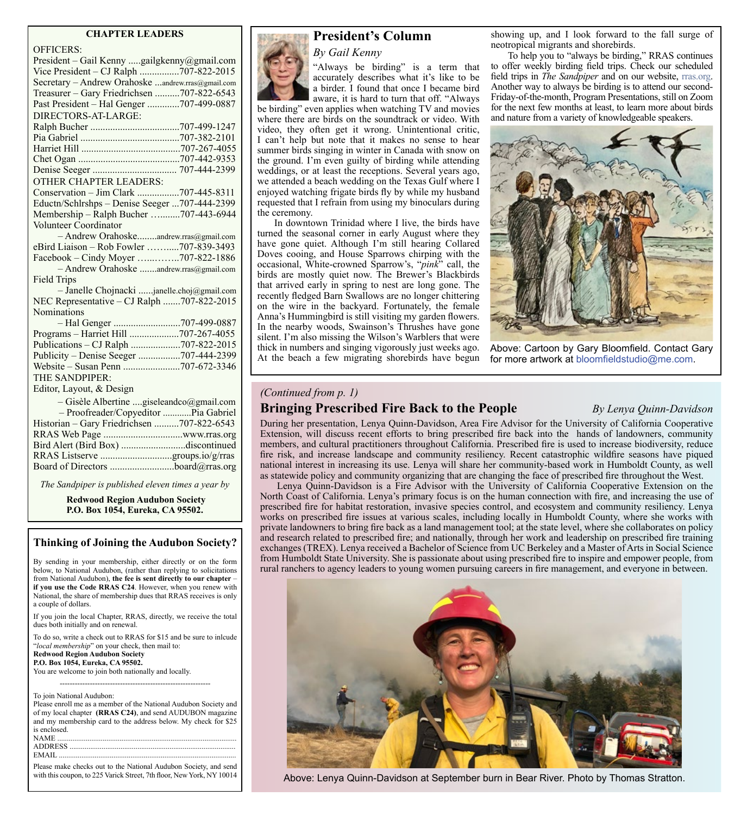## **CHAPTER LEADERS**

| <b>OFFICERS:</b>                                  |
|---------------------------------------------------|
| President - Gail Kenny gailgkenny@gmail.com       |
| Vice President - CJ Ralph 707-822-2015            |
| Secretary - Andrew Orahoske andrew.rras@gmail.com |
| Treasurer - Gary Friedrichsen 707-822-6543        |
| Past President - Hal Genger 707-499-0887          |
| DIRECTORS-AT-LARGE:                               |
|                                                   |
|                                                   |
|                                                   |
|                                                   |
|                                                   |
| <b>OTHER CHAPTER LEADERS:</b>                     |
| Conservation - Jim Clark 707-445-8311             |
| Eductn/Schlrshps - Denise Seeger 707-444-2399     |
| Membership - Ralph Bucher 707-443-6944            |
| Volunteer Coordinator                             |
| - Andrew Orahoskeandrew.rras@gmail.com            |
| eBird Liaison - Rob Fowler 707-839-3493           |
| Facebook – Cindy Moyer 707-822-1886               |
| - Andrew Orahoske andrew.rras@gmail.com           |
| <b>Field Trips</b>                                |
| - Janelle Chojnacki janelle.choj@gmail.com        |
| NEC Representative - CJ Ralph 707-822-2015        |
| Nominations                                       |
|                                                   |
| Programs - Harriet Hill 707-267-4055              |
| Publications - CJ Ralph 707-822-2015              |
| Publicity – Denise Seeger 707-444-2399            |
|                                                   |
| THE SANDPIPER:                                    |
| Editor, Layout, & Design                          |
| - Gisèle Albertine giseleandco@gmail.com          |
| - Proofreader/Copyeditor  Pia Gabriel             |
| Historian - Gary Friedrichsen 707-822-6543        |
|                                                   |
| Bird Alert (Bird Box) discontinued                |
| RRAS Listserve groups.io/g/rras                   |
| Board of Directors board@rras.org                 |
|                                                   |

*The Sandpiper is published eleven times a year by*

**Redwood Region Audubon Society P.O. Box 1054, Eureka, CA 95502.**

## **Thinking of Joining the Audubon Society?**

By sending in your membership, either directly or on the form below, to National Audubon, (rather than replying to solicitations from National Audubon), **the fee is sent directly to our chapter** – **if you use the Code RRAS C24**. However, when you renew with National, the share of membership dues that RRAS receives is only a couple of dollars.

If you join the local Chapter, RRAS, directly, we receive the total dues both initially and on renewal.

To do so, write a check out to RRAS for \$15 and be sure to inlcude "*local membership*" on your check, then mail to: **Redwood Region Audubon Society P.O. Box 1054, Eureka, CA 95502.** You are welcome to join both nationally and locally.

------------------------------------------------------------

To join National Audubon:

Please enroll me as a member of the National Audubon Society and of my local chapter **(RRAS C24)**, and send AUDUBON magazine and my membership card to the address below. My check for \$25 is enclosed.  $\it NAME$ ADDRESS<br>EMAIL ...... EMAIL ..............................................................................................

Please make checks out to the National Audubon Society, and send



## **President's Column**

*By Gail Kenny*

"Always be birding" is a term that accurately describes what it's like to be a birder. I found that once I became bird aware, it is hard to turn that off. "Always

be birding" even applies when watching TV and movies where there are birds on the soundtrack or video. With video, they often get it wrong. Unintentional critic, I can't help but note that it makes no sense to hear summer birds singing in winter in Canada with snow on the ground. I'm even guilty of birding while attending weddings, or at least the receptions. Several years ago, we attended a beach wedding on the Texas Gulf where I enjoyed watching frigate birds fly by while my husband requested that I refrain from using my binoculars during the ceremony.

In downtown Trinidad where I live, the birds have turned the seasonal corner in early August where they have gone quiet. Although I'm still hearing Collared Doves cooing, and House Sparrows chirping with the occasional, White-crowned Sparrow's, "*pink*" call, the birds are mostly quiet now. The Brewer's Blackbirds that arrived early in spring to nest are long gone. The recently fledged Barn Swallows are no longer chittering on the wire in the backyard. Fortunately, the female Anna's Hummingbird is still visiting my garden flowers. In the nearby woods, Swainson's Thrushes have gone silent. I'm also missing the Wilson's Warblers that were thick in numbers and singing vigorously just weeks ago. At the beach a few migrating shorebirds have begun

showing up, and I look forward to the fall surge of neotropical migrants and shorebirds.

To help you to "always be birding," RRAS continues to offer weekly birding field trips. Check our scheduled field trips in *The Sandpiper* and on our website, [rras.org](http://rras.org/home.aspx). Another way to always be birding is to attend our second-Friday-of-the-month, Program Presentations, still on Zoom for the next few months at least, to learn more about birds and nature from a variety of knowledgeable speakers.



Above: Cartoon by Gary Bloomfield. Contact Gary for more artwork at bloomfieldstudio@me.com.

### *(Continued from p. 1)*

## **Bringing Prescribed Fire Back to the People** *By Lenya Quinn-Davidson*

During her presentation, Lenya Quinn-Davidson, Area Fire Advisor for the University of California Cooperative Extension, will discuss recent efforts to bring prescribed fire back into the hands of landowners, community members, and cultural practitioners throughout California. Prescribed fire is used to increase biodiversity, reduce fire risk, and increase landscape and community resiliency. Recent catastrophic wildfire seasons have piqued national interest in increasing its use. Lenya will share her community-based work in Humboldt County, as well

as statewide policy and community organizing that are changing the face of prescribed fire throughout the West. Lenya Quinn-Davidson is a Fire Advisor with the University of California Cooperative Extension on the North Coast of California. Lenya's primary focus is on the human connection with fire, and increasing the use of prescribed fire for habitat restoration, invasive species control, and ecosystem and community resiliency. Lenya works on prescribed fire issues at various scales, including locally in Humboldt County, where she works with private landowners to bring fire back as a land management tool; at the state level, where she collaborates on policy and research related to prescribed fire; and nationally, through her work and leadership on prescribed fire training exchanges (TREX). Lenya received a Bachelor of Science from UC Berkeley and a Master of Arts in Social Science from Humboldt State University. She is passionate about using prescribed fire to inspire and empower people, from rural ranchers to agency leaders to young women pursuing careers in fire management, and everyone in between.



Above: Lenya Quinn-Davidson at September burn in Bear River. Photo by Thomas Stratton.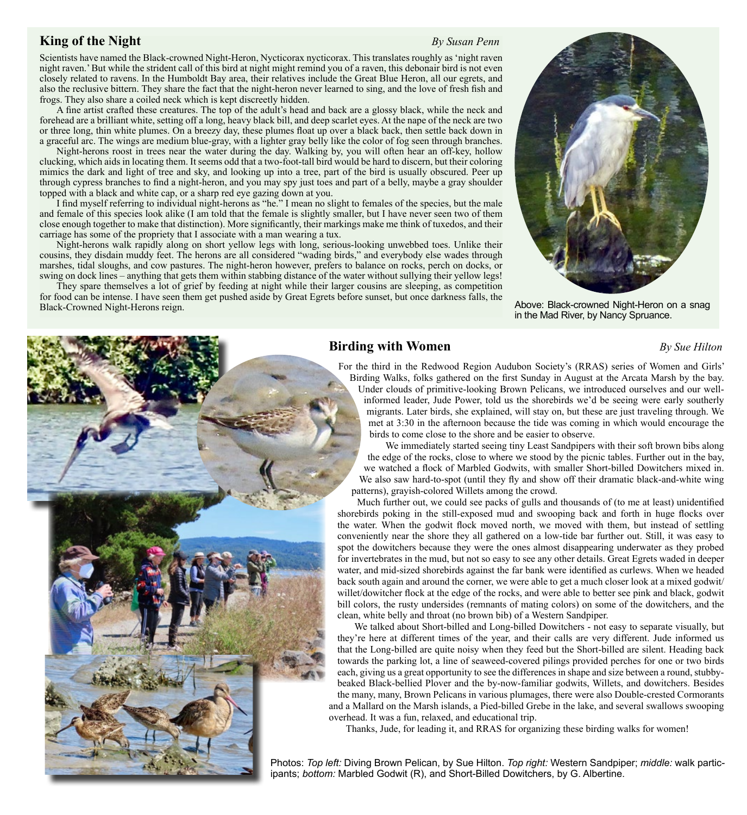## **King of the Night** *By Susan Penn*

Scientists have named the Black-crowned Night-Heron, Nycticorax nycticorax. This translates roughly as 'night raven night raven.' But while the strident call of this bird at night might remind you of a raven, this debonair bird is not even closely related to ravens. In the Humboldt Bay area, their relatives include the Great Blue Heron, all our egrets, and also the reclusive bittern. They share the fact that the night-heron never learned to sing, and the love of fresh fish and frogs. They also share a coiled neck which is kept discreetly hidden.

A fine artist crafted these creatures. The top of the adult's head and back are a glossy black, while the neck and forehead are a brilliant white, setting off a long, heavy black bill, and deep scarlet eyes. At the nape of the neck are two or three long, thin white plumes. On a breezy day, these plumes float up over a black back, then settle back down in a graceful arc. The wings are medium blue-gray, with a lighter gray belly like the color of fog seen through branches.

Night-herons roost in trees near the water during the day. Walking by, you will often hear an off-key, hollow clucking, which aids in locating them. It seems odd that a two-foot-tall bird would be hard to discern, but their coloring mimics the dark and light of tree and sky, and looking up into a tree, part of the bird is usually obscured. Peer up through cypress branches to find a night-heron, and you may spy just toes and part of a belly, maybe a gray shoulder topped with a black and white cap, or a sharp red eye gazing down at you.

I find myself referring to individual night-herons as "he." I mean no slight to females of the species, but the male and female of this species look alike (I am told that the female is slightly smaller, but I have never seen two of them close enough together to make that distinction). More significantly, their markings make me think of tuxedos, and their carriage has some of the propriety that I associate with a man wearing a tux.

Night-herons walk rapidly along on short yellow legs with long, serious-looking unwebbed toes. Unlike their cousins, they disdain muddy feet. The herons are all considered "wading birds," and everybody else wades through marshes, tidal sloughs, and cow pastures. The night-heron however, prefers to balance on rocks, perch on docks, or swing on dock lines – anything that gets them within stabbing distance of the water without sullying their yellow legs!

They spare themselves a lot of grief by feeding at night while their larger cousins are sleeping, as competition for food can be intense. I have seen them get pushed aside by Great Egrets before sunset, but once darkness falls, the Black-Crowned Night-Herons reign. Black-crowned Night-Heron on a snag



in the Mad River, by Nancy Spruance.

## **Birding with Women** *By Sue Hilton*

For the third in the Redwood Region Audubon Society's (RRAS) series of Women and Girls' Birding Walks, folks gathered on the first Sunday in August at the Arcata Marsh by the bay. Under clouds of primitive-looking Brown Pelicans, we introduced ourselves and our wellinformed leader, Jude Power, told us the shorebirds we'd be seeing were early southerly migrants. Later birds, she explained, will stay on, but these are just traveling through. We met at 3:30 in the afternoon because the tide was coming in which would encourage the birds to come close to the shore and be easier to observe.

We immediately started seeing tiny Least Sandpipers with their soft brown bibs along the edge of the rocks, close to where we stood by the picnic tables. Further out in the bay, we watched a flock of Marbled Godwits, with smaller Short-billed Dowitchers mixed in. We also saw hard-to-spot (until they fly and show off their dramatic black-and-white wing patterns), grayish-colored Willets among the crowd.

Much further out, we could see packs of gulls and thousands of (to me at least) unidentified shorebirds poking in the still-exposed mud and swooping back and forth in huge flocks over the water. When the godwit flock moved north, we moved with them, but instead of settling conveniently near the shore they all gathered on a low-tide bar further out. Still, it was easy to spot the dowitchers because they were the ones almost disappearing underwater as they probed for invertebrates in the mud, but not so easy to see any other details. Great Egrets waded in deeper water, and mid-sized shorebirds against the far bank were identified as curlews. When we headed back south again and around the corner, we were able to get a much closer look at a mixed godwit/ willet/dowitcher flock at the edge of the rocks, and were able to better see pink and black, godwit bill colors, the rusty undersides (remnants of mating colors) on some of the dowitchers, and the clean, white belly and throat (no brown bib) of a Western Sandpiper.

We talked about Short-billed and Long-billed Dowitchers - not easy to separate visually, but they're here at different times of the year, and their calls are very different. Jude informed us that the Long-billed are quite noisy when they feed but the Short-billed are silent. Heading back towards the parking lot, a line of seaweed-covered pilings provided perches for one or two birds each, giving us a great opportunity to see the differences in shape and size between a round, stubbybeaked Black-bellied Plover and the by-now-familiar godwits, Willets, and dowitchers. Besides the many, many, Brown Pelicans in various plumages, there were also Double-crested Cormorants and a Mallard on the Marsh islands, a Pied-billed Grebe in the lake, and several swallows swooping overhead. It was a fun, relaxed, and educational trip.

Thanks, Jude, for leading it, and RRAS for organizing these birding walks for women!

Photos: *Top left:* Diving Brown Pelican, by Sue Hilton. *Top right:* Western Sandpiper; *middle:* walk participants; *bottom:* Marbled Godwit (R), and Short-Billed Dowitchers, by G. Albertine.